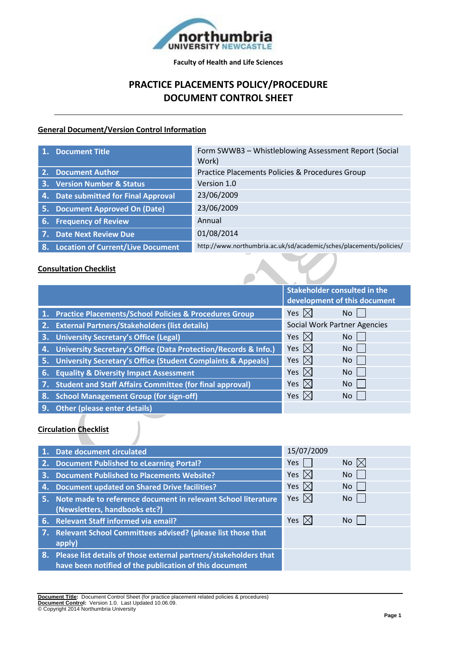

# **PRACTICE PLACEMENTS POLICY/PROCEDURE DOCUMENT CONTROL SHEET**

# **General Document/Version Control Information**

| $\mathbf{1}$ . | <b>Document Title</b>                    | Form SWWB3 - Whistleblowing Assessment Report (Social<br>Work)      |
|----------------|------------------------------------------|---------------------------------------------------------------------|
|                | 2. Document Author                       | Practice Placements Policies & Procedures Group                     |
|                | 3. Version Number & Status               | Version 1.0                                                         |
|                | 4. Date submitted for Final Approval     | 23/06/2009                                                          |
|                | 5. Document Approved On (Date)           | 23/06/2009                                                          |
| 6.             | <b>Frequency of Review</b>               | Annual                                                              |
|                | 7. Date Next Review Due                  | 01/08/2014                                                          |
| -8.            | <b>Location of Current/Live Document</b> | http://www.northumbria.ac.uk/sd/academic/sches/placements/policies/ |

## **Consultation Checklist**

|    |                                                                    | <b>Stakeholder consulted in the</b> |           |
|----|--------------------------------------------------------------------|-------------------------------------|-----------|
|    |                                                                    | development of this document        |           |
|    | 1. Practice Placements/School Policies & Procedures Group          | Yes $\boxtimes$                     | No.       |
|    | 2. External Partners/Stakeholders (list details)                   | <b>Social Work Partner Agencies</b> |           |
| 3. | <b>University Secretary's Office (Legal)</b>                       | Yes $\boxtimes$                     | <b>No</b> |
|    | 4. University Secretary's Office (Data Protection/Records & Info.) | Yes $\boxtimes$                     | No l      |
|    | 5. University Secretary's Office (Student Complaints & Appeals)    | Yes $\boxtimes$                     | No.       |
| 6. | <b>Equality &amp; Diversity Impact Assessment</b>                  | Yes $\boxtimes$                     | No        |
|    | <b>Student and Staff Affairs Committee (for final approval)</b>    | Yes $ \times $                      | <b>No</b> |
| 8. | <b>School Management Group (for sign-off)</b>                      | Yes $ \times $                      | No        |
| 9. | <b>Other (please enter details)</b>                                |                                     |           |

# **Circulation Checklist**

|    | <b>Date document circulated</b>                                     | 15/07/2009      |                |
|----|---------------------------------------------------------------------|-----------------|----------------|
|    | 2. Document Published to eLearning Portal?                          | Yes             | No $\boxtimes$ |
|    | 3. Document Published to Placements Website?                        | Yes $\boxtimes$ | <b>No</b>      |
| 4. | <b>Document updated on Shared Drive facilities?</b>                 | Yes $\boxtimes$ | No l           |
|    | 5. Note made to reference document in relevant School literature    | Yes $\boxtimes$ | No.            |
|    | (Newsletters, handbooks etc?)                                       |                 |                |
|    | 6. Relevant Staff informed via email?                               | Yes $\boxtimes$ | No.            |
|    | 7. Relevant School Committees advised? (please list those that      |                 |                |
|    | apply)                                                              |                 |                |
|    | 8. Please list details of those external partners/stakeholders that |                 |                |
|    | have been notified of the publication of this document              |                 |                |

**Document Title:** Document Control Sheet (for practice placement related policies & procedures) **Document Control:** Version 1.0. Last Updated 10.06.09. © Copyright 2014 Northumbria University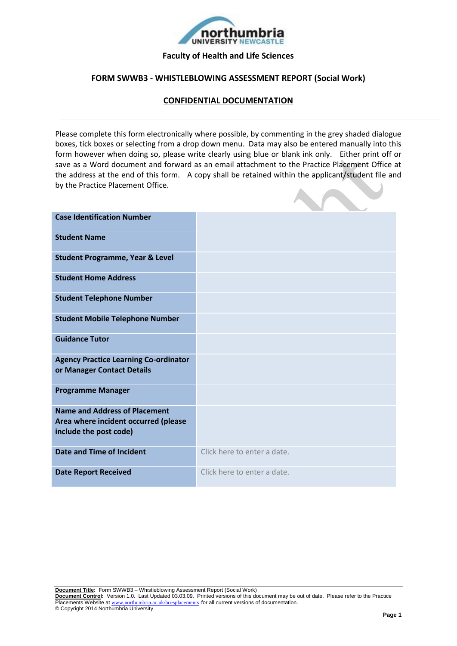

#### **Faculty of Health and Life Sciences**

## **FORM SWWB3 - WHISTLEBLOWING ASSESSMENT REPORT (Social Work)**

# **CONFIDENTIAL DOCUMENTATION**

Please complete this form electronically where possible, by commenting in the grey shaded dialogue boxes, tick boxes or selecting from a drop down menu. Data may also be entered manually into this form however when doing so, please write clearly using blue or blank ink only. Either print off or save as a Word document and forward as an email attachment to the Practice Placement Office at the address at the end of this form. A copy shall be retained within the applicant/student file and by the Practice Placement Office.

| <b>Case Identification Number</b>                                                                      |                             |
|--------------------------------------------------------------------------------------------------------|-----------------------------|
| <b>Student Name</b>                                                                                    |                             |
| <b>Student Programme, Year &amp; Level</b>                                                             |                             |
| <b>Student Home Address</b>                                                                            |                             |
| <b>Student Telephone Number</b>                                                                        |                             |
| <b>Student Mobile Telephone Number</b>                                                                 |                             |
| <b>Guidance Tutor</b>                                                                                  |                             |
| <b>Agency Practice Learning Co-ordinator</b><br>or Manager Contact Details                             |                             |
| <b>Programme Manager</b>                                                                               |                             |
| <b>Name and Address of Placement</b><br>Area where incident occurred (please<br>include the post code) |                             |
| <b>Date and Time of Incident</b>                                                                       | Click here to enter a date. |
| <b>Date Report Received</b>                                                                            | Click here to enter a date. |